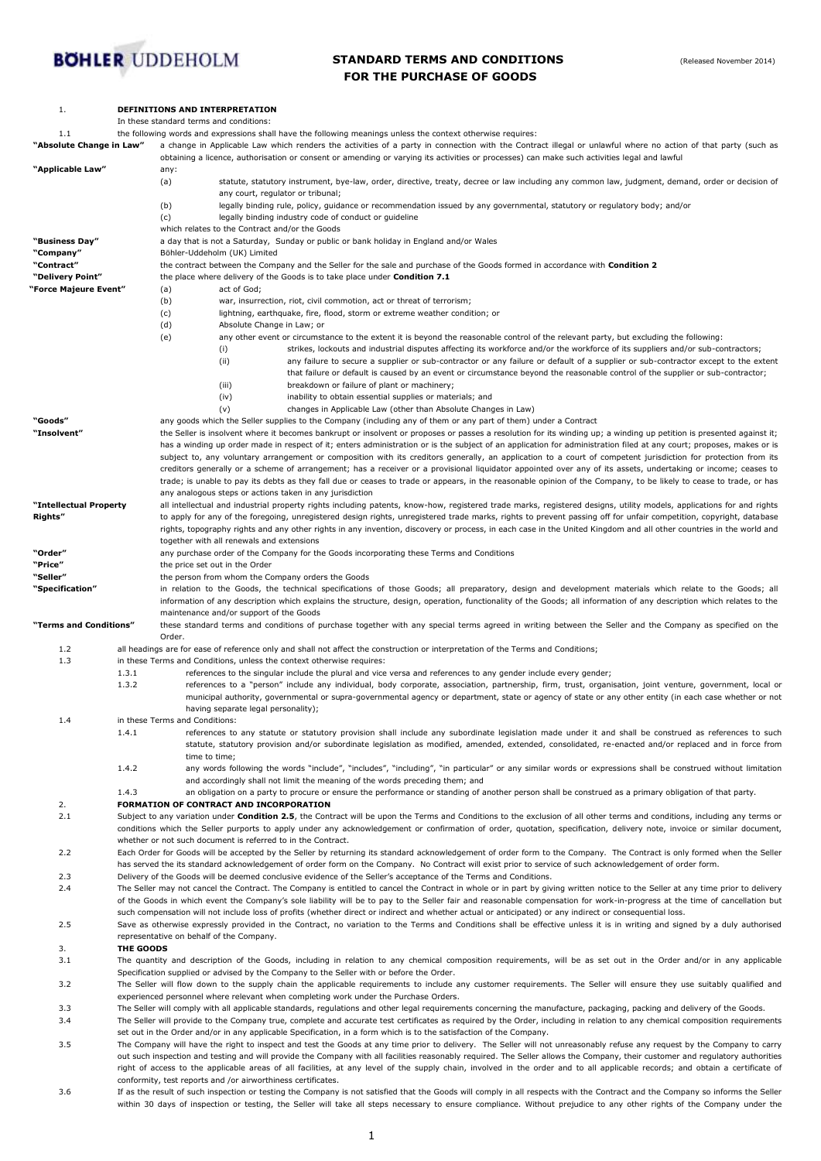

# **STANDARD TERMS AND CONDITIONS** (Released November 2014)  **FOR THE PURCHASE OF GOODS**

| 1.                              |           | DEFINITIONS AND INTERPRETATION                                                                                                                                                                                                                                                                                                                                                                                               |
|---------------------------------|-----------|------------------------------------------------------------------------------------------------------------------------------------------------------------------------------------------------------------------------------------------------------------------------------------------------------------------------------------------------------------------------------------------------------------------------------|
|                                 |           | In these standard terms and conditions:                                                                                                                                                                                                                                                                                                                                                                                      |
| 1.1<br>"Absolute Change in Law" |           | the following words and expressions shall have the following meanings unless the context otherwise requires:<br>a change in Applicable Law which renders the activities of a party in connection with the Contract illegal or unlawful where no action of that party (such as<br>obtaining a licence, authorisation or consent or amending or varying its activities or processes) can make such activities legal and lawful |
| "Applicable Law"                |           | any:                                                                                                                                                                                                                                                                                                                                                                                                                         |
|                                 |           | (a)<br>statute, statutory instrument, bye-law, order, directive, treaty, decree or law including any common law, judgment, demand, order or decision of<br>any court, regulator or tribunal;                                                                                                                                                                                                                                 |
|                                 |           | (b)<br>legally binding rule, policy, guidance or recommendation issued by any governmental, statutory or regulatory body; and/or<br>(c)<br>legally binding industry code of conduct or guideline                                                                                                                                                                                                                             |
|                                 |           | which relates to the Contract and/or the Goods                                                                                                                                                                                                                                                                                                                                                                               |
| "Business Day"                  |           | a day that is not a Saturday, Sunday or public or bank holiday in England and/or Wales                                                                                                                                                                                                                                                                                                                                       |
| "Company"<br>"Contract"         |           | Böhler-Uddeholm (UK) Limited<br>the contract between the Company and the Seller for the sale and purchase of the Goods formed in accordance with Condition 2                                                                                                                                                                                                                                                                 |
| "Delivery Point"                |           | the place where delivery of the Goods is to take place under Condition 7.1                                                                                                                                                                                                                                                                                                                                                   |
| "Force Majeure Event"           |           | act of God;<br>(a)                                                                                                                                                                                                                                                                                                                                                                                                           |
|                                 |           | (b)<br>war, insurrection, riot, civil commotion, act or threat of terrorism;                                                                                                                                                                                                                                                                                                                                                 |
|                                 |           | (c)<br>lightning, earthquake, fire, flood, storm or extreme weather condition; or                                                                                                                                                                                                                                                                                                                                            |
|                                 |           | (d)<br>Absolute Change in Law; or                                                                                                                                                                                                                                                                                                                                                                                            |
|                                 |           | (e)<br>any other event or circumstance to the extent it is beyond the reasonable control of the relevant party, but excluding the following:                                                                                                                                                                                                                                                                                 |
|                                 |           | strikes, lockouts and industrial disputes affecting its workforce and/or the workforce of its suppliers and/or sub-contractors;<br>(i)                                                                                                                                                                                                                                                                                       |
|                                 |           | (ii)<br>any failure to secure a supplier or sub-contractor or any failure or default of a supplier or sub-contractor except to the extent<br>that failure or default is caused by an event or circumstance beyond the reasonable control of the supplier or sub-contractor;                                                                                                                                                  |
|                                 |           | (iii)<br>breakdown or failure of plant or machinery;                                                                                                                                                                                                                                                                                                                                                                         |
|                                 |           | (iv)<br>inability to obtain essential supplies or materials; and                                                                                                                                                                                                                                                                                                                                                             |
|                                 |           | (v)<br>changes in Applicable Law (other than Absolute Changes in Law)                                                                                                                                                                                                                                                                                                                                                        |
| "Goods"                         |           | any goods which the Seller supplies to the Company (including any of them or any part of them) under a Contract                                                                                                                                                                                                                                                                                                              |
| "Insolvent"                     |           | the Seller is insolvent where it becomes bankrupt or insolvent or proposes or passes a resolution for its winding up; a winding up petition is presented against it;                                                                                                                                                                                                                                                         |
|                                 |           | has a winding up order made in respect of it; enters administration or is the subject of an application for administration filed at any court; proposes, makes or is                                                                                                                                                                                                                                                         |
|                                 |           | subject to, any voluntary arrangement or composition with its creditors generally, an application to a court of competent jurisdiction for protection from its                                                                                                                                                                                                                                                               |
|                                 |           | creditors generally or a scheme of arrangement; has a receiver or a provisional liquidator appointed over any of its assets, undertaking or income; ceases to<br>trade; is unable to pay its debts as they fall due or ceases to trade or appears, in the reasonable opinion of the Company, to be likely to cease to trade, or has                                                                                          |
|                                 |           | any analogous steps or actions taken in any jurisdiction                                                                                                                                                                                                                                                                                                                                                                     |
| "Intellectual Property          |           | all intellectual and industrial property rights including patents, know-how, registered trade marks, registered designs, utility models, applications for and rights                                                                                                                                                                                                                                                         |
| Rights"                         |           | to apply for any of the foregoing, unregistered design rights, unregistered trade marks, rights to prevent passing off for unfair competition, copyright, database                                                                                                                                                                                                                                                           |
|                                 |           | rights, topography rights and any other rights in any invention, discovery or process, in each case in the United Kingdom and all other countries in the world and                                                                                                                                                                                                                                                           |
|                                 |           | together with all renewals and extensions                                                                                                                                                                                                                                                                                                                                                                                    |
| "Order"                         |           | any purchase order of the Company for the Goods incorporating these Terms and Conditions                                                                                                                                                                                                                                                                                                                                     |
| "Price"<br>"Seller"             |           | the price set out in the Order<br>the person from whom the Company orders the Goods                                                                                                                                                                                                                                                                                                                                          |
| "Specification"                 |           | in relation to the Goods, the technical specifications of those Goods; all preparatory, design and development materials which relate to the Goods; all                                                                                                                                                                                                                                                                      |
|                                 |           | information of any description which explains the structure, design, operation, functionality of the Goods; all information of any description which relates to the                                                                                                                                                                                                                                                          |
|                                 |           | maintenance and/or support of the Goods                                                                                                                                                                                                                                                                                                                                                                                      |
| "Terms and Conditions"          |           | these standard terms and conditions of purchase together with any special terms agreed in writing between the Seller and the Company as specified on the<br>Order.                                                                                                                                                                                                                                                           |
| 1.2                             |           | all headings are for ease of reference only and shall not affect the construction or interpretation of the Terms and Conditions;                                                                                                                                                                                                                                                                                             |
| 1.3                             |           | in these Terms and Conditions, unless the context otherwise requires:                                                                                                                                                                                                                                                                                                                                                        |
|                                 | 1.3.1     | references to the singular include the plural and vice versa and references to any gender include every gender;                                                                                                                                                                                                                                                                                                              |
|                                 | 1.3.2     | references to a "person" include any individual, body corporate, association, partnership, firm, trust, organisation, joint venture, government, local or                                                                                                                                                                                                                                                                    |
|                                 |           | municipal authority, governmental or supra-governmental agency or department, state or agency of state or any other entity (in each case whether or not<br>having separate legal personality);                                                                                                                                                                                                                               |
| 1.4                             |           | in these Terms and Conditions:                                                                                                                                                                                                                                                                                                                                                                                               |
|                                 | 1.4.1     | references to any statute or statutory provision shall include any subordinate legislation made under it and shall be construed as references to such                                                                                                                                                                                                                                                                        |
|                                 |           | statute, statutory provision and/or subordinate legislation as modified, amended, extended, consolidated, re-enacted and/or replaced and in force from                                                                                                                                                                                                                                                                       |
|                                 |           | time to time;                                                                                                                                                                                                                                                                                                                                                                                                                |
|                                 | 1.4.2     | any words following the words "include", "includes", "including", "in particular" or any similar words or expressions shall be construed without limitation                                                                                                                                                                                                                                                                  |
|                                 |           | and accordingly shall not limit the meaning of the words preceding them; and                                                                                                                                                                                                                                                                                                                                                 |
| 2.                              | 1.4.3     | an obligation on a party to procure or ensure the performance or standing of another person shall be construed as a primary obligation of that party.<br>FORMATION OF CONTRACT AND INCORPORATION                                                                                                                                                                                                                             |
| 2.1                             |           | Subject to any variation under <b>Condition 2.5</b> , the Contract will be upon the Terms and Conditions to the exclusion of all other terms and conditions, including any terms or                                                                                                                                                                                                                                          |
|                                 |           | conditions which the Seller purports to apply under any acknowledgement or confirmation of order, quotation, specification, delivery note, invoice or similar document,                                                                                                                                                                                                                                                      |
|                                 |           | whether or not such document is referred to in the Contract.                                                                                                                                                                                                                                                                                                                                                                 |
| 2.2                             |           | Each Order for Goods will be accepted by the Seller by returning its standard acknowledgement of order form to the Company. The Contract is only formed when the Seller                                                                                                                                                                                                                                                      |
|                                 |           | has served the its standard acknowledgement of order form on the Company. No Contract will exist prior to service of such acknowledgement of order form.                                                                                                                                                                                                                                                                     |
| 2.3                             |           | Delivery of the Goods will be deemed conclusive evidence of the Seller's acceptance of the Terms and Conditions.                                                                                                                                                                                                                                                                                                             |
| 2.4                             |           | The Seller may not cancel the Contract. The Company is entitled to cancel the Contract in whole or in part by giving written notice to the Seller at any time prior to delivery<br>of the Goods in which event the Company's sole liability will be to pay to the Seller fair and reasonable compensation for work-in-progress at the time of cancellation but                                                               |
|                                 |           | such compensation will not include loss of profits (whether direct or indirect and whether actual or anticipated) or any indirect or consequential loss.                                                                                                                                                                                                                                                                     |
| 2.5                             |           | Save as otherwise expressly provided in the Contract, no variation to the Terms and Conditions shall be effective unless it is in writing and signed by a duly authorised                                                                                                                                                                                                                                                    |
|                                 |           | representative on behalf of the Company.                                                                                                                                                                                                                                                                                                                                                                                     |
| 3.                              | THE GOODS |                                                                                                                                                                                                                                                                                                                                                                                                                              |
| 3.1                             |           | The quantity and description of the Goods, including in relation to any chemical composition requirements, will be as set out in the Order and/or in any applicable                                                                                                                                                                                                                                                          |
|                                 |           | Specification supplied or advised by the Company to the Seller with or before the Order.                                                                                                                                                                                                                                                                                                                                     |
| 3.2                             |           | The Seller will flow down to the supply chain the applicable requirements to include any customer requirements. The Seller will ensure they use suitably qualified and                                                                                                                                                                                                                                                       |
|                                 |           | experienced personnel where relevant when completing work under the Purchase Orders.                                                                                                                                                                                                                                                                                                                                         |
| 3.3<br>3.4                      |           | The Seller will comply with all applicable standards, regulations and other legal requirements concerning the manufacture, packaging, packing and delivery of the Goods.<br>The Seller will provide to the Company true, complete and accurate test certificates as required by the Order, including in relation to any chemical composition requirements                                                                    |
|                                 |           | set out in the Order and/or in any applicable Specification, in a form which is to the satisfaction of the Company.                                                                                                                                                                                                                                                                                                          |
| 3.5                             |           | The Company will have the right to inspect and test the Goods at any time prior to delivery. The Seller will not unreasonably refuse any request by the Company to carry                                                                                                                                                                                                                                                     |
|                                 |           | out such inspection and testing and will provide the Company with all facilities reasonably required. The Seller allows the Company, their customer and regulatory authorities                                                                                                                                                                                                                                               |
|                                 |           | right of access to the applicable areas of all facilities, at any level of the supply chain, involved in the order and to all applicable records; and obtain a certificate of                                                                                                                                                                                                                                                |
|                                 |           | conformity, test reports and /or airworthiness certificates.                                                                                                                                                                                                                                                                                                                                                                 |

3.6 If as the result of such inspection or testing the Company is not satisfied that the Goods will comply in all respects with the Contract and the Company so informs the Seller within 30 days of inspection or testing, the Seller will take all steps necessary to ensure compliance. Without prejudice to any other rights of the Company under the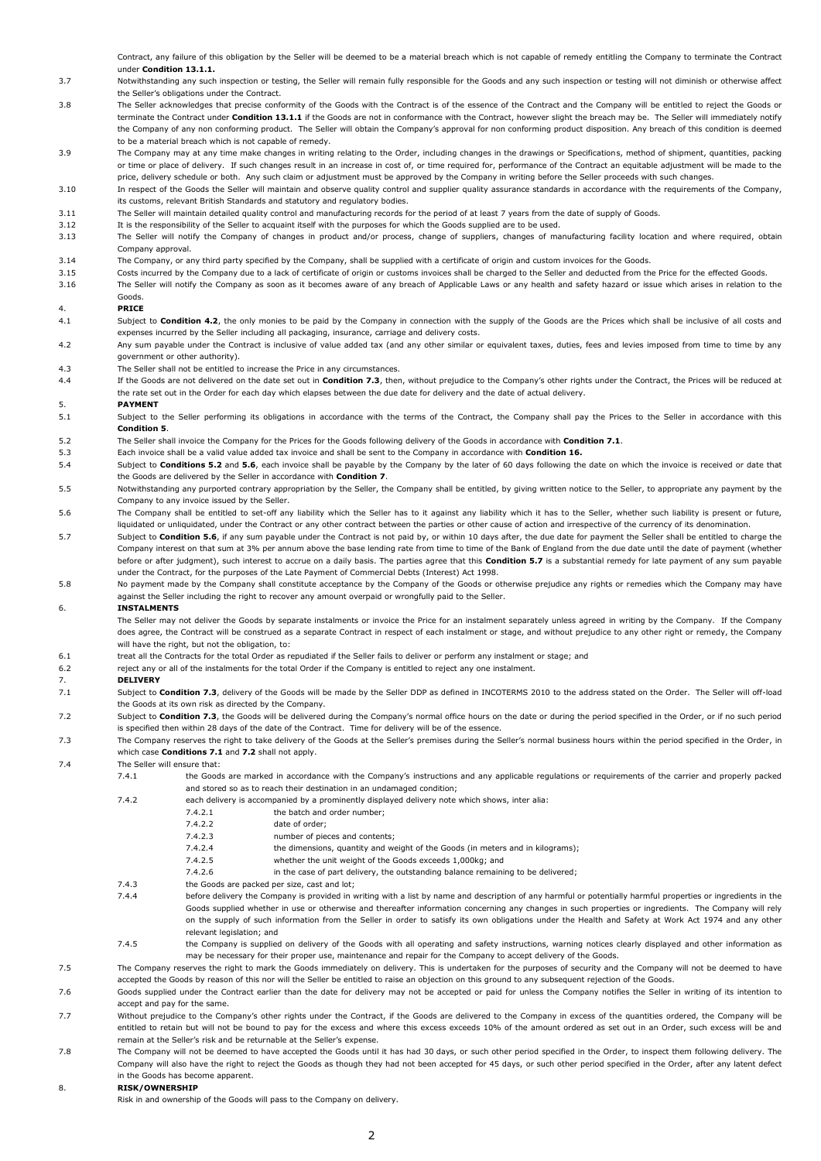Contract, any failure of this obligation by the Seller will be deemed to be a material breach which is not capable of remedy entitling the Company to terminate the Contract under **Condition 13.1.1.**

- 3.7 Notwithstanding any such inspection or testing, the Seller will remain fully responsible for the Goods and any such inspection or testing will not diminish or otherwise affect the Seller's obligations under the Contract.
- 3.8 The Seller acknowledges that precise conformity of the Goods with the Contract is of the essence of the Contract and the Company will be entitled to reject the Goods or terminate the Contract under **Condition 13.1.1** if the Goods are not in conformance with the Contract, however slight the breach may be. The Seller will immediately notify the Company of any non conforming product. The Seller will obtain the Company's approval for non conforming product disposition. Any breach of this condition is deemed to be a material breach which is not capable of remedy.
- 3.9 The Company may at any time make changes in writing relating to the Order, including changes in the drawings or Specifications, method of shipment, quantities, packing or time or place of delivery. If such changes result in an increase in cost of, or time required for, performance of the Contract an equitable adjustment will be made to the price, delivery schedule or both. Any such claim or adjustment must be approved by the Company in writing before the Seller proceeds with such changes.
- 3.10 In respect of the Goods the Seller will maintain and observe quality control and supplier quality assurance standards in accordance with the requirements of the Company, its customs, relevant British Standards and statutory and regulatory bodies.
- 3.11 The Seller will maintain detailed quality control and manufacturing records for the period of at least 7 years from the date of supply of Goods.
- 3.12 It is the responsibility of the Seller to acquaint itself with the purposes for which the Goods supplied are to be used.
- 3.13 The Seller will notify the Company of changes in product and/or process, change of suppliers, changes of manufacturing facility location and where required, obtain Company approval.
- 3.14 The Company, or any third party specified by the Company, shall be supplied with a certificate of origin and custom invoices for the Goods.
- 3.15 Costs incurred by the Company due to a lack of certificate of origin or customs invoices shall be charged to the Seller and deducted from the Price for the effected Goods.
- 3.16 The Seller will notify the Company as soon as it becomes aware of any breach of Applicable Laws or any health and safety hazard or issue which arises in relation to the Goods.

#### 4. **PRICE**

- 4.1 Subject to **Condition 4.2**, the only monies to be paid by the Company in connection with the supply of the Goods are the Prices which shall be inclusive of all costs and expenses incurred by the Seller including all packaging, insurance, carriage and delivery costs.
- 4.2 Any sum payable under the Contract is inclusive of value added tax (and any other similar or equivalent taxes, duties, fees and levies imposed from time to time by any government or other authority).
- 4.3 The Seller shall not be entitled to increase the Price in any circumstances.
- 4.4 If the Goods are not delivered on the date set out in **Condition 7.3**, then, without prejudice to the Company's other rights under the Contract, the Prices will be reduced at the rate set out in the Order for each day which elapses between the due date for delivery and the date of actual delivery.

# 5. **PAYMENT**

- 5.1 Subject to the Seller performing its obligations in accordance with the terms of the Contract, the Company shall pay the Prices to the Seller in accordance with this **Condition 5**.
- 5.2 The Seller shall invoice the Company for the Prices for the Goods following delivery of the Goods in accordance with **Condition 7.1**.
- 5.3 Each invoice shall be a valid value added tax invoice and shall be sent to the Company in accordance with **Condition 16.**
- 5.4 Subject to **Conditions 5.2** and **5.6**, each invoice shall be payable by the Company by the later of 60 days following the date on which the invoice is received or date that the Goods are delivered by the Seller in accordance with **Condition 7**.
- 5.5 Notwithstanding any purported contrary appropriation by the Seller, the Company shall be entitled, by giving written notice to the Seller, to appropriate any payment by the Company to any invoice issued by the Seller.
- 5.6 The Company shall be entitled to set-off any liability which the Seller has to it against any liability which it has to the Seller, whether such liability is present or future, liquidated or unliquidated, under the Contract or any other contract between the parties or other cause of action and irrespective of the currency of its denomination.
- 5.7 Subject to **Condition 5.6**, if any sum payable under the Contract is not paid by, or within 10 days after, the due date for payment the Seller shall be entitled to charge the Company interest on that sum at 3% per annum above the base lending rate from time to time of the Bank of England from the due date until the date of payment (whether before or after judgment), such interest to accrue on a daily basis. The parties agree that this **Condition 5.7** is a substantial remedy for late payment of any sum payable under the Contract, for the purposes of the Late Payment of Commercial Debts (Interest) Act 1998.
- 5.8 No payment made by the Company shall constitute acceptance by the Company of the Goods or otherwise prejudice any rights or remedies which the Company may have against the Seller including the right to recover any amount overpaid or wrongfully paid to the Seller.

#### 6. **INSTALMENTS**

The Seller may not deliver the Goods by separate instalments or invoice the Price for an instalment separately unless agreed in writing by the Company. If the Company does agree, the Contract will be construed as a separate Contract in respect of each instalment or stage, and without prejudice to any other right or remedy, the Company will have the right, but not the obligation, to:

- 6.1 treat all the Contracts for the total Order as repudiated if the Seller fails to deliver or perform any instalment or stage; and
- 6.2 reject any or all of the instalments for the total Order if the Company is entitled to reject any one instalment.

#### 7. **DELIVERY**

- 7.1 Subject to **Condition 7.3**, delivery of the Goods will be made by the Seller DDP as defined in INCOTERMS 2010 to the address stated on the Order. The Seller will off-load the Goods at its own risk as directed by the Company.
- 7.2 Subject to **Condition 7.3**, the Goods will be delivered during the Company's normal office hours on the date or during the period specified in the Order, or if no such period is specified then within 28 days of the date of the Contract. Time for delivery will be of the essence.
- 7.3 The Company reserves the right to take delivery of the Goods at the Seller's premises during the Seller's normal business hours within the period specified in the Order, in which case **Conditions 7.1** and **7.2** shall not apply.

7.4 The Seller will ensure that:

- 7.4.1 the Goods are marked in accordance with the Company's instructions and any applicable regulations or requirements of the carrier and properly packed and stored so as to reach their destination in an undamaged condition;
- 7.4.2 each delivery is accompanied by a prominently displayed delivery note which shows, inter alia:
	- 7.4.2.1 the batch and order number;
	- 7.4.2.2 date of order;
	- 7.4.2.3 number of pieces and contents;
	- 7.4.2.4 the dimensions, quantity and weight of the Goods (in meters and in kilograms);<br>7.4.2.5 whether the unit weight of the Goods exceeds 1,000kg; and
	- whether the unit weight of the Goods exceeds 1,000kg; and
	- 7.4.2.6 in the case of part delivery, the outstanding balance remaining to be delivered;
- 7.4.3 the Goods are packed per size, cast and lot;
- 7.4.4 before delivery the Company is provided in writing with a list by name and description of any harmful or potentially harmful properties or ingredients in the Goods supplied whether in use or otherwise and thereafter information concerning any changes in such properties or ingredients. The Company will rely on the supply of such information from the Seller in order to satisfy its own obligations under the Health and Safety at Work Act 1974 and any other relevant legislation; and
- 7.4.5 the Company is supplied on delivery of the Goods with all operating and safety instructions, warning notices clearly displayed and other information as may be necessary for their proper use, maintenance and repair for the Company to accept delivery of the Goods.
- 7.5 The Company reserves the right to mark the Goods immediately on delivery. This is undertaken for the purposes of security and the Company will not be deemed to have accepted the Goods by reason of this nor will the Seller be entitled to raise an objection on this ground to any subsequent rejection of the Goods.
- 7.6 Goods supplied under the Contract earlier than the date for delivery may not be accepted or paid for unless the Company notifies the Seller in writing of its intention to accept and pay for the same.
- 7.7 Without prejudice to the Company's other rights under the Contract, if the Goods are delivered to the Company in excess of the quantities ordered, the Company will be entitled to retain but will not be bound to pay for the excess and where this excess exceeds 10% of the amount ordered as set out in an Order, such excess will be and remain at the Seller's risk and be returnable at the Seller's expense.
- 7.8 The Company will not be deemed to have accepted the Goods until it has had 30 days, or such other period specified in the Order, to inspect them following delivery. The Company will also have the right to reject the Goods as though they had not been accepted for 45 days, or such other period specified in the Order, after any latent defect in the Goods has become apparent.

# 8. **RISK/OWNERSHIP**

Risk in and ownership of the Goods will pass to the Company on delivery.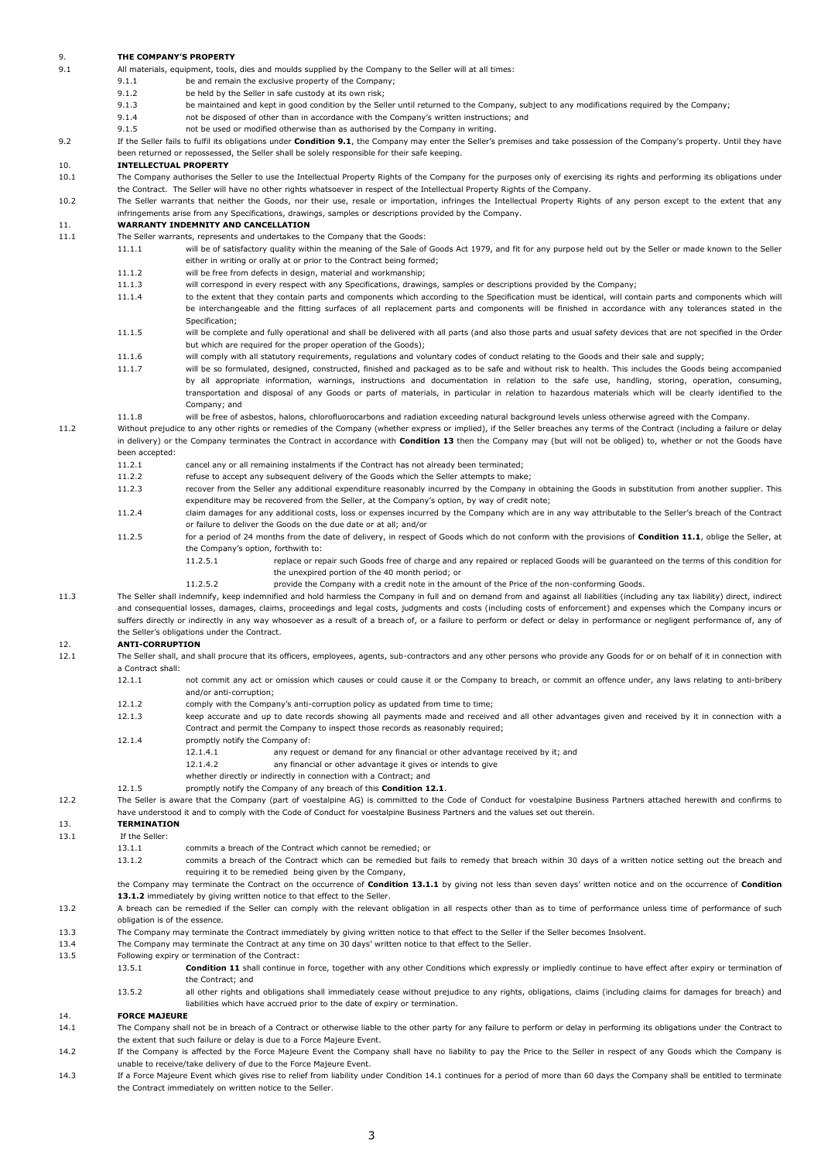| 9.          |                          | THE COMPANY'S PROPERTY                                                                                                                                                                                                                                                                                       |
|-------------|--------------------------|--------------------------------------------------------------------------------------------------------------------------------------------------------------------------------------------------------------------------------------------------------------------------------------------------------------|
| 9.1         |                          | All materials, equipment, tools, dies and moulds supplied by the Company to the Seller will at all times:                                                                                                                                                                                                    |
|             | 9.1.1                    | be and remain the exclusive property of the Company;                                                                                                                                                                                                                                                         |
|             | 9.1.2                    | be held by the Seller in safe custody at its own risk;                                                                                                                                                                                                                                                       |
|             | 9.1.3<br>9.1.4           | be maintained and kept in good condition by the Seller until returned to the Company, subject to any modifications required by the Company;<br>not be disposed of other than in accordance with the Company's written instructions; and                                                                      |
|             | 9.1.5                    | not be used or modified otherwise than as authorised by the Company in writing.                                                                                                                                                                                                                              |
| 9.2         |                          | If the Seller fails to fulfil its obligations under Condition 9.1, the Company may enter the Seller's premises and take possession of the Company's property. Until they have                                                                                                                                |
|             |                          | been returned or repossessed, the Seller shall be solely responsible for their safe keeping.                                                                                                                                                                                                                 |
| 10.         |                          | <b>INTELLECTUAL PROPERTY</b>                                                                                                                                                                                                                                                                                 |
| 10.1        |                          | The Company authorises the Seller to use the Intellectual Property Rights of the Company for the purposes only of exercising its rights and performing its obligations under<br>the Contract. The Seller will have no other rights whatsoever in respect of the Intellectual Property Rights of the Company. |
| 10.2        |                          | The Seller warrants that neither the Goods, nor their use, resale or importation, infringes the Intellectual Property Rights of any person except to the extent that any                                                                                                                                     |
|             |                          | infringements arise from any Specifications, drawings, samples or descriptions provided by the Company.                                                                                                                                                                                                      |
| 11.         |                          | <b>WARRANTY INDEMNITY AND CANCELLATION</b>                                                                                                                                                                                                                                                                   |
| 11.1        |                          | The Seller warrants, represents and undertakes to the Company that the Goods:                                                                                                                                                                                                                                |
|             | 11.1.1                   | will be of satisfactory quality within the meaning of the Sale of Goods Act 1979, and fit for any purpose held out by the Seller or made known to the Seller<br>either in writing or orally at or prior to the Contract being formed;                                                                        |
|             | 11.1.2                   | will be free from defects in design, material and workmanship;                                                                                                                                                                                                                                               |
|             | 11.1.3                   | will correspond in every respect with any Specifications, drawings, samples or descriptions provided by the Company;                                                                                                                                                                                         |
|             | 11.1.4                   | to the extent that they contain parts and components which according to the Specification must be identical, will contain parts and components which will                                                                                                                                                    |
|             |                          | be interchangeable and the fitting surfaces of all replacement parts and components will be finished in accordance with any tolerances stated in the                                                                                                                                                         |
|             | 11.1.5                   | Specification;<br>will be complete and fully operational and shall be delivered with all parts (and also those parts and usual safety devices that are not specified in the Order                                                                                                                            |
|             |                          | but which are required for the proper operation of the Goods);                                                                                                                                                                                                                                               |
|             | 11.1.6                   | will comply with all statutory requirements, regulations and voluntary codes of conduct relating to the Goods and their sale and supply;                                                                                                                                                                     |
|             | 11.1.7                   | will be so formulated, designed, constructed, finished and packaged as to be safe and without risk to health. This includes the Goods being accompanied                                                                                                                                                      |
|             |                          | by all appropriate information, warnings, instructions and documentation in relation to the safe use, handling, storing, operation, consuming,                                                                                                                                                               |
|             |                          | transportation and disposal of any Goods or parts of materials, in particular in relation to hazardous materials which will be clearly identified to the<br>Company; and                                                                                                                                     |
|             | 11.1.8                   | will be free of asbestos, halons, chlorofluorocarbons and radiation exceeding natural background levels unless otherwise agreed with the Company.                                                                                                                                                            |
| 11.2        |                          | Without prejudice to any other rights or remedies of the Company (whether express or implied), if the Seller breaches any terms of the Contract (including a failure or delay                                                                                                                                |
|             |                          | in delivery) or the Company terminates the Contract in accordance with Condition 13 then the Company may (but will not be obliged) to, whether or not the Goods have                                                                                                                                         |
|             | been accepted:<br>11.2.1 | cancel any or all remaining instalments if the Contract has not already been terminated;                                                                                                                                                                                                                     |
|             | 11.2.2                   | refuse to accept any subsequent delivery of the Goods which the Seller attempts to make;                                                                                                                                                                                                                     |
|             | 11.2.3                   | recover from the Seller any additional expenditure reasonably incurred by the Company in obtaining the Goods in substitution from another supplier. This                                                                                                                                                     |
|             |                          | expenditure may be recovered from the Seller, at the Company's option, by way of credit note;                                                                                                                                                                                                                |
|             | 11.2.4                   | claim damages for any additional costs, loss or expenses incurred by the Company which are in any way attributable to the Seller's breach of the Contract                                                                                                                                                    |
|             | 11.2.5                   | or failure to deliver the Goods on the due date or at all; and/or<br>for a period of 24 months from the date of delivery, in respect of Goods which do not conform with the provisions of <b>Condition 11.1</b> , oblige the Seller, at                                                                      |
|             |                          | the Company's option, forthwith to:                                                                                                                                                                                                                                                                          |
|             |                          | 11.2.5.1<br>replace or repair such Goods free of charge and any repaired or replaced Goods will be guaranteed on the terms of this condition for                                                                                                                                                             |
|             |                          | the unexpired portion of the 40 month period; or                                                                                                                                                                                                                                                             |
| 11.3        |                          | 11.2.5.2<br>provide the Company with a credit note in the amount of the Price of the non-conforming Goods.<br>The Seller shall indemnify, keep indemnified and hold harmless the Company in full and on demand from and against all liabilities (including any tax liability) direct, indirect               |
|             |                          | and consequential losses, damages, claims, proceedings and legal costs, judgments and costs (including costs of enforcement) and expenses which the Company incurs or                                                                                                                                        |
|             |                          | suffers directly or indirectly in any way whosoever as a result of a breach of, or a failure to perform or defect or delay in performance or negligent performance of, any of                                                                                                                                |
|             |                          | the Seller's obligations under the Contract.                                                                                                                                                                                                                                                                 |
| 12.<br>12.1 | <b>ANTI-CORRUPTION</b>   | The Seller shall, and shall procure that its officers, employees, agents, sub-contractors and any other persons who provide any Goods for or on behalf of it in connection with                                                                                                                              |
|             | a Contract shall:        |                                                                                                                                                                                                                                                                                                              |
|             | 12.1.1                   | not commit any act or omission which causes or could cause it or the Company to breach, or commit an offence under, any laws relating to anti-bribery                                                                                                                                                        |
|             |                          | and/or anti-corruption;                                                                                                                                                                                                                                                                                      |
|             | 12.1.2                   | comply with the Company's anti-corruption policy as updated from time to time;                                                                                                                                                                                                                               |
|             | 12.1.3                   | keep accurate and up to date records showing all payments made and received and all other advantages given and received by it in connection with a<br>Contract and permit the Company to inspect those records as reasonably required;                                                                       |
|             | 12.1.4                   | promptly notify the Company of:                                                                                                                                                                                                                                                                              |
|             |                          | 12.1.4.1<br>any request or demand for any financial or other advantage received by it; and                                                                                                                                                                                                                   |
|             |                          | 12.1.4.2<br>any financial or other advantage it gives or intends to give                                                                                                                                                                                                                                     |
|             | 12.1.5                   | whether directly or indirectly in connection with a Contract; and                                                                                                                                                                                                                                            |
| 12.2        |                          | promptly notify the Company of any breach of this Condition 12.1.<br>The Seller is aware that the Company (part of voestalpine AG) is committed to the Code of Conduct for voestalpine Business Partners attached herewith and confirms to                                                                   |
|             |                          | have understood it and to comply with the Code of Conduct for voestalpine Business Partners and the values set out therein.                                                                                                                                                                                  |
| 13.         | <b>TERMINATION</b>       |                                                                                                                                                                                                                                                                                                              |
| 13.1        | If the Seller:           |                                                                                                                                                                                                                                                                                                              |
|             | 13.1.1<br>13.1.2         | commits a breach of the Contract which cannot be remedied; or<br>commits a breach of the Contract which can be remedied but fails to remedy that breach within 30 days of a written notice setting out the breach and                                                                                        |
|             |                          | requiring it to be remedied being given by the Company,                                                                                                                                                                                                                                                      |
|             |                          | the Company may terminate the Contract on the occurrence of <b>Condition 13.1.1</b> by giving not less than seven days' written notice and on the occurrence of <b>Condition</b>                                                                                                                             |
|             |                          | 13.1.2 immediately by giving written notice to that effect to the Seller.                                                                                                                                                                                                                                    |
| 13.2        |                          | A breach can be remedied if the Seller can comply with the relevant obligation in all respects other than as to time of performance unless time of performance of performance of such<br>obligation is of the essence.                                                                                       |
| 13.3        |                          | The Company may terminate the Contract immediately by giving written notice to that effect to the Seller if the Seller becomes Insolvent.                                                                                                                                                                    |
| 13.4        |                          | The Company may terminate the Contract at any time on 30 days' written notice to that effect to the Seller.                                                                                                                                                                                                  |
| 13.5        |                          | Following expiry or termination of the Contract:                                                                                                                                                                                                                                                             |
|             | 13.5.1                   | Condition 11 shall continue in force, together with any other Conditions which expressly or impliedly continue to have effect after expiry or termination of                                                                                                                                                 |
|             | 13.5.2                   | the Contract; and<br>all other rights and obligations shall immediately cease without prejudice to any rights, obligations, claims (including claims for damages for breach) and                                                                                                                             |
|             |                          | liabilities which have accrued prior to the date of expiry or termination.                                                                                                                                                                                                                                   |
|             |                          |                                                                                                                                                                                                                                                                                                              |
| 14.         | <b>FORCE MAJEURE</b>     |                                                                                                                                                                                                                                                                                                              |
| 14.1        |                          | The Company shall not be in breach of a Contract or otherwise liable to the other party for any failure to perform or delay in performing its obligations under the Contract to<br>the extent that such failure or delay is due to a Force Majeure Event.                                                    |

- 14.2 If the Company is affected by the Force Majeure Event the Company shall have no liability to pay the Price to the Seller in respect of any Goods which the Company is unable to receive/take delivery of due to the Force Majeure Event.
- 14.3 If a Force Majeure Event which gives rise to relief from liability under Condition 14.1 continues for a period of more than 60 days the Company shall be entitled to terminate the Contract immediately on written notice to the Seller.